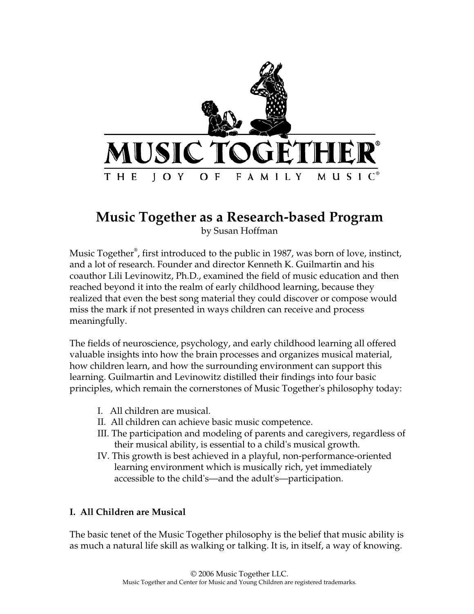

# **Music Together as a Research-based Program**

by Susan Hoffman

Music Together**®** , first introduced to the public in 1987, was born of love, instinct, and a lot of research. Founder and director Kenneth K. Guilmartin and his coauthor Lili Levinowitz, Ph.D., examined the field of music education and then reached beyond it into the realm of early childhood learning, because they realized that even the best song material they could discover or compose would miss the mark if not presented in ways children can receive and process meaningfully.

The fields of neuroscience, psychology, and early childhood learning all offered valuable insights into how the brain processes and organizes musical material, how children learn, and how the surrounding environment can support this learning. Guilmartin and Levinowitz distilled their findings into four basic principles, which remain the cornerstones of Music Together's philosophy today:

- I. All children are musical.
- II. All children can achieve basic music competence.
- III. The participation and modeling of parents and caregivers, regardless of their musical ability, is essential to a child's musical growth.
- IV. This growth is best achieved in a playful, non-performance-oriented learning environment which is musically rich, yet immediately accessible to the child's—and the adult's—participation.

## **I. All Children are Musical**

The basic tenet of the Music Together philosophy is the belief that music ability is as much a natural life skill as walking or talking. It is, in itself, a way of knowing.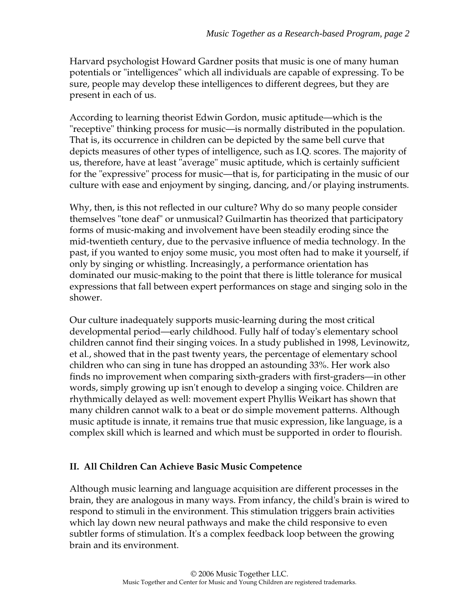Harvard psychologist Howard Gardner posits that music is one of many human potentials or "intelligences" which all individuals are capable of expressing. To be sure, people may develop these intelligences to different degrees, but they are present in each of us.

According to learning theorist Edwin Gordon, music aptitude—which is the "receptive" thinking process for music—is normally distributed in the population. That is, its occurrence in children can be depicted by the same bell curve that depicts measures of other types of intelligence, such as I.Q. scores. The majority of us, therefore, have at least "average" music aptitude, which is certainly sufficient for the "expressive" process for music—that is, for participating in the music of our culture with ease and enjoyment by singing, dancing, and/or playing instruments.

Why, then, is this not reflected in our culture? Why do so many people consider themselves "tone deaf" or unmusical? Guilmartin has theorized that participatory forms of music-making and involvement have been steadily eroding since the mid-twentieth century, due to the pervasive influence of media technology. In the past, if you wanted to enjoy some music, you most often had to make it yourself, if only by singing or whistling. Increasingly, a performance orientation has dominated our music-making to the point that there is little tolerance for musical expressions that fall between expert performances on stage and singing solo in the shower.

Our culture inadequately supports music-learning during the most critical developmental period—early childhood. Fully half of today's elementary school children cannot find their singing voices. In a study published in 1998, Levinowitz, et al., showed that in the past twenty years, the percentage of elementary school children who can sing in tune has dropped an astounding 33%. Her work also finds no improvement when comparing sixth-graders with first-graders—in other words, simply growing up isn't enough to develop a singing voice. Children are rhythmically delayed as well: movement expert Phyllis Weikart has shown that many children cannot walk to a beat or do simple movement patterns. Although music aptitude is innate, it remains true that music expression, like language, is a complex skill which is learned and which must be supported in order to flourish.

## **II. All Children Can Achieve Basic Music Competence**

Although music learning and language acquisition are different processes in the brain, they are analogous in many ways. From infancy, the child's brain is wired to respond to stimuli in the environment. This stimulation triggers brain activities which lay down new neural pathways and make the child responsive to even subtler forms of stimulation. It's a complex feedback loop between the growing brain and its environment.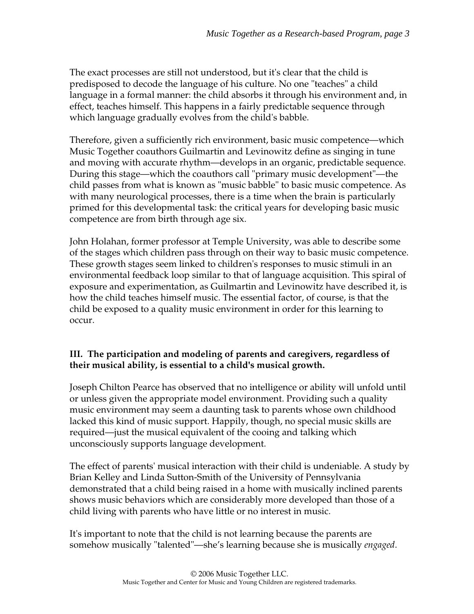The exact processes are still not understood, but it's clear that the child is predisposed to decode the language of his culture. No one "teaches" a child language in a formal manner: the child absorbs it through his environment and, in effect, teaches himself. This happens in a fairly predictable sequence through which language gradually evolves from the child's babble.

Therefore, given a sufficiently rich environment, basic music competence—which Music Together coauthors Guilmartin and Levinowitz define as singing in tune and moving with accurate rhythm—develops in an organic, predictable sequence. During this stage—which the coauthors call "primary music development"—the child passes from what is known as "music babble" to basic music competence. As with many neurological processes, there is a time when the brain is particularly primed for this developmental task: the critical years for developing basic music competence are from birth through age six.

John Holahan, former professor at Temple University, was able to describe some of the stages which children pass through on their way to basic music competence. These growth stages seem linked to children's responses to music stimuli in an environmental feedback loop similar to that of language acquisition. This spiral of exposure and experimentation, as Guilmartin and Levinowitz have described it, is how the child teaches himself music. The essential factor, of course, is that the child be exposed to a quality music environment in order for this learning to occur.

## **III. The participation and modeling of parents and caregivers, regardless of their musical ability, is essential to a child's musical growth.**

Joseph Chilton Pearce has observed that no intelligence or ability will unfold until or unless given the appropriate model environment. Providing such a quality music environment may seem a daunting task to parents whose own childhood lacked this kind of music support. Happily, though, no special music skills are required—just the musical equivalent of the cooing and talking which unconsciously supports language development.

The effect of parents' musical interaction with their child is undeniable. A study by Brian Kelley and Linda Sutton-Smith of the University of Pennsylvania demonstrated that a child being raised in a home with musically inclined parents shows music behaviors which are considerably more developed than those of a child living with parents who have little or no interest in music.

It's important to note that the child is not learning because the parents are somehow musically "talented"—she's learning because she is musically *engaged*.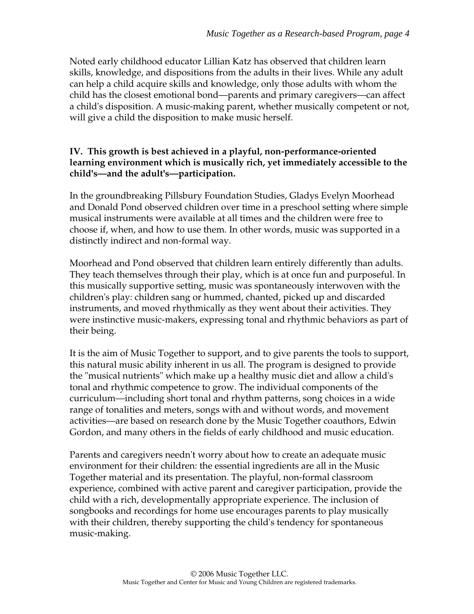Noted early childhood educator Lillian Katz has observed that children learn skills, knowledge, and dispositions from the adults in their lives. While any adult can help a child acquire skills and knowledge, only those adults with whom the child has the closest emotional bond—parents and primary caregivers—can affect a child's disposition. A music-making parent, whether musically competent or not, will give a child the disposition to make music herself.

#### **IV. This growth is best achieved in a playful, non-performance-oriented learning environment which is musically rich, yet immediately accessible to the child's—and the adult's—participation.**

In the groundbreaking Pillsbury Foundation Studies, Gladys Evelyn Moorhead and Donald Pond observed children over time in a preschool setting where simple musical instruments were available at all times and the children were free to choose if, when, and how to use them. In other words, music was supported in a distinctly indirect and non-formal way.

Moorhead and Pond observed that children learn entirely differently than adults. They teach themselves through their play, which is at once fun and purposeful. In this musically supportive setting, music was spontaneously interwoven with the children's play: children sang or hummed, chanted, picked up and discarded instruments, and moved rhythmically as they went about their activities. They were instinctive music-makers, expressing tonal and rhythmic behaviors as part of their being.

It is the aim of Music Together to support, and to give parents the tools to support, this natural music ability inherent in us all. The program is designed to provide the "musical nutrients" which make up a healthy music diet and allow a child's tonal and rhythmic competence to grow. The individual components of the curriculum—including short tonal and rhythm patterns, song choices in a wide range of tonalities and meters, songs with and without words, and movement activities—are based on research done by the Music Together coauthors, Edwin Gordon, and many others in the fields of early childhood and music education.

Parents and caregivers needn't worry about how to create an adequate music environment for their children: the essential ingredients are all in the Music Together material and its presentation. The playful, non-formal classroom experience, combined with active parent and caregiver participation, provide the child with a rich, developmentally appropriate experience. The inclusion of songbooks and recordings for home use encourages parents to play musically with their children, thereby supporting the child's tendency for spontaneous music-making.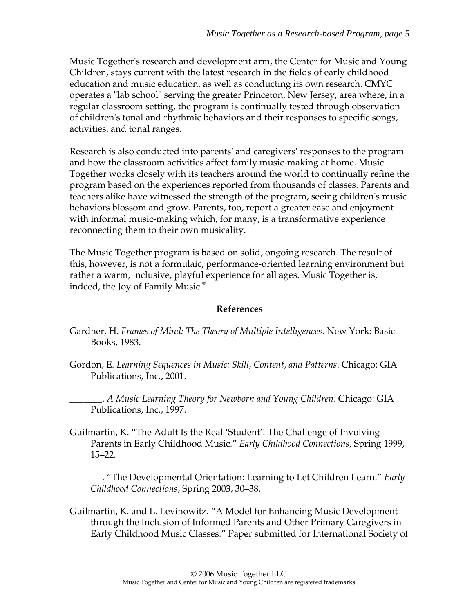Music Together's research and development arm, the Center for Music and Young Children, stays current with the latest research in the fields of early childhood education and music education, as well as conducting its own research. CMYC operates a "lab school" serving the greater Princeton, New Jersey, area where, in a regular classroom setting, the program is continually tested through observation of children's tonal and rhythmic behaviors and their responses to specific songs, activities, and tonal ranges.

Research is also conducted into parents' and caregivers' responses to the program and how the classroom activities affect family music-making at home. Music Together works closely with its teachers around the world to continually refine the program based on the experiences reported from thousands of classes. Parents and teachers alike have witnessed the strength of the program, seeing children's music behaviors blossom and grow. Parents, too, report a greater ease and enjoyment with informal music-making which, for many, is a transformative experience reconnecting them to their own musicality.

The Music Together program is based on solid, ongoing research. The result of this, however, is not a formulaic, performance-oriented learning environment but rather a warm, inclusive, playful experience for all ages. Music Together is, indeed, the Joy of Family Music.®

#### **References**

- Gardner, H. *Frames of Mind: The Theory of Multiple Intelligences*. New York: Basic Books, 1983.
- Gordon, E. *Learning Sequences in Music: Skill, Content, and Patterns*. Chicago: GIA Publications, Inc., 2001.

\_\_\_\_\_\_\_. *A Music Learning Theory for Newborn and Young Children*. Chicago: GIA Publications, Inc., 1997.

Guilmartin, K. "The Adult Is the Real 'Student'! The Challenge of Involving Parents in Early Childhood Music." *Early Childhood Connections*, Spring 1999, 15–22.

\_\_\_\_\_\_\_. "The Developmental Orientation: Learning to Let Children Learn." *Early Childhood Connections*, Spring 2003, 30–38.

Guilmartin, K. and L. Levinowitz. "A Model for Enhancing Music Development through the Inclusion of Informed Parents and Other Primary Caregivers in Early Childhood Music Classes." Paper submitted for International Society of